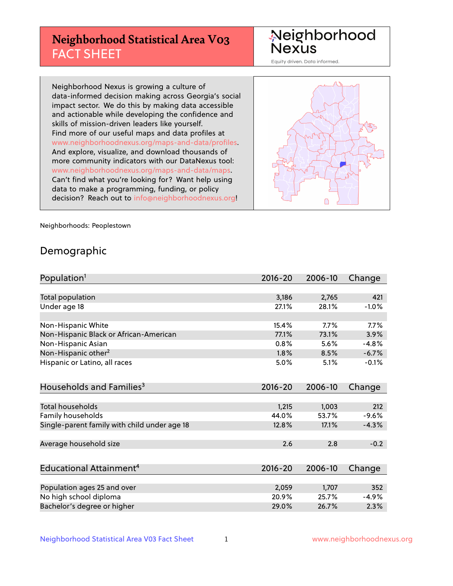# **Neighborhood Statistical Area V03** FACT SHEET

Neighborhood Nexus

Equity driven. Data informed.

Neighborhood Nexus is growing a culture of data-informed decision making across Georgia's social impact sector. We do this by making data accessible and actionable while developing the confidence and skills of mission-driven leaders like yourself. Find more of our useful maps and data profiles at www.neighborhoodnexus.org/maps-and-data/profiles. And explore, visualize, and download thousands of more community indicators with our DataNexus tool: www.neighborhoodnexus.org/maps-and-data/maps. Can't find what you're looking for? Want help using data to make a programming, funding, or policy decision? Reach out to [info@neighborhoodnexus.org!](mailto:info@neighborhoodnexus.org)



Neighborhoods: Peoplestown

### Demographic

| Population <sup>1</sup>                      | $2016 - 20$ | 2006-10 | Change  |
|----------------------------------------------|-------------|---------|---------|
|                                              |             |         |         |
| Total population                             | 3,186       | 2,765   | 421     |
| Under age 18                                 | 27.1%       | 28.1%   | $-1.0%$ |
|                                              |             |         |         |
| Non-Hispanic White                           | 15.4%       | $7.7\%$ | 7.7%    |
| Non-Hispanic Black or African-American       | 77.1%       | 73.1%   | 3.9%    |
| Non-Hispanic Asian                           | 0.8%        | 5.6%    | $-4.8%$ |
| Non-Hispanic other <sup>2</sup>              | 1.8%        | 8.5%    | $-6.7%$ |
| Hispanic or Latino, all races                | 5.0%        | 5.1%    | $-0.1%$ |
|                                              |             |         |         |
| Households and Families <sup>3</sup>         | $2016 - 20$ | 2006-10 | Change  |
|                                              |             |         |         |
| Total households                             | 1,215       | 1,003   | 212     |
| Family households                            | 44.0%       | 53.7%   | $-9.6%$ |
| Single-parent family with child under age 18 | 12.8%       | 17.1%   | $-4.3%$ |
|                                              |             |         |         |
| Average household size                       | 2.6         | 2.8     | $-0.2$  |
|                                              |             |         |         |
| Educational Attainment <sup>4</sup>          | $2016 - 20$ | 2006-10 | Change  |
|                                              |             |         |         |
| Population ages 25 and over                  | 2,059       | 1,707   | 352     |
| No high school diploma                       | 20.9%       | 25.7%   | $-4.9%$ |
| Bachelor's degree or higher                  | 29.0%       | 26.7%   | 2.3%    |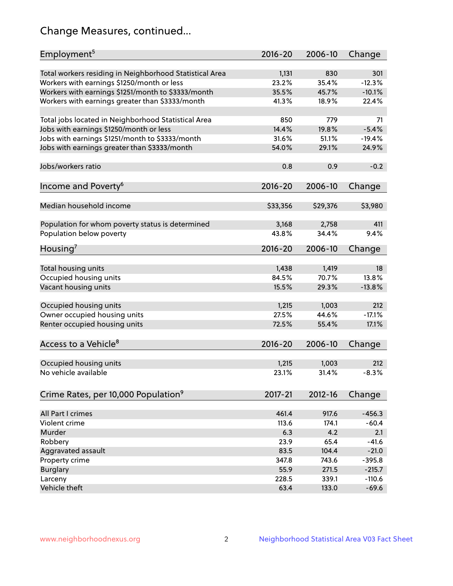# Change Measures, continued...

| Employment <sup>5</sup>                                 | $2016 - 20$ | 2006-10  | Change   |
|---------------------------------------------------------|-------------|----------|----------|
| Total workers residing in Neighborhood Statistical Area | 1,131       | 830      | 301      |
| Workers with earnings \$1250/month or less              | 23.2%       | 35.4%    | $-12.3%$ |
| Workers with earnings \$1251/month to \$3333/month      | 35.5%       | 45.7%    | $-10.1%$ |
| Workers with earnings greater than \$3333/month         | 41.3%       | 18.9%    | 22.4%    |
|                                                         |             |          |          |
| Total jobs located in Neighborhood Statistical Area     | 850         | 779      | 71       |
| Jobs with earnings \$1250/month or less                 | 14.4%       | 19.8%    | $-5.4%$  |
| Jobs with earnings \$1251/month to \$3333/month         | 31.6%       | 51.1%    | $-19.4%$ |
| Jobs with earnings greater than \$3333/month            | 54.0%       | 29.1%    | 24.9%    |
|                                                         |             |          |          |
| Jobs/workers ratio                                      | 0.8         | 0.9      | $-0.2$   |
|                                                         |             |          |          |
| Income and Poverty <sup>6</sup>                         | $2016 - 20$ | 2006-10  | Change   |
|                                                         |             |          |          |
| Median household income                                 | \$33,356    | \$29,376 | \$3,980  |
|                                                         |             |          |          |
| Population for whom poverty status is determined        | 3,168       | 2,758    | 411      |
| Population below poverty                                | 43.8%       | 34.4%    | 9.4%     |
| Housing'                                                | $2016 - 20$ | 2006-10  | Change   |
|                                                         |             |          |          |
| Total housing units                                     | 1,438       | 1,419    | 18       |
| Occupied housing units                                  | 84.5%       | 70.7%    | 13.8%    |
| Vacant housing units                                    | 15.5%       | 29.3%    | $-13.8%$ |
|                                                         |             |          |          |
| Occupied housing units                                  | 1,215       | 1,003    | 212      |
| Owner occupied housing units                            | 27.5%       | 44.6%    | $-17.1%$ |
| Renter occupied housing units                           | 72.5%       | 55.4%    | 17.1%    |
|                                                         |             |          |          |
| Access to a Vehicle <sup>8</sup>                        | $2016 - 20$ | 2006-10  | Change   |
|                                                         |             |          |          |
| Occupied housing units                                  | 1,215       | 1,003    | 212      |
| No vehicle available                                    | 23.1%       | 31.4%    | $-8.3%$  |
|                                                         |             |          |          |
| Crime Rates, per 10,000 Population <sup>9</sup>         | 2017-21     | 2012-16  | Change   |
|                                                         |             |          |          |
| All Part I crimes                                       | 461.4       | 917.6    | $-456.3$ |
| Violent crime                                           | 113.6       | 174.1    | $-60.4$  |
| <b>Murder</b>                                           | 6.3         | 4.2      | 2.1      |
| Robbery                                                 | 23.9        | 65.4     | $-41.6$  |
| Aggravated assault                                      | 83.5        | 104.4    | $-21.0$  |
| Property crime                                          | 347.8       | 743.6    | $-395.8$ |
| <b>Burglary</b>                                         | 55.9        | 271.5    | $-215.7$ |
| Larceny                                                 | 228.5       | 339.1    | $-110.6$ |
| Vehicle theft                                           | 63.4        | 133.0    | $-69.6$  |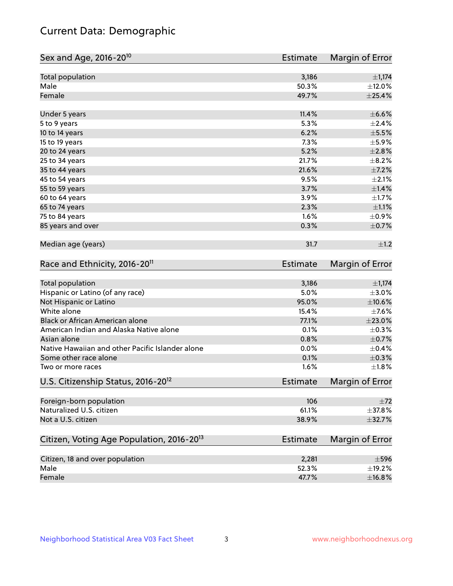# Current Data: Demographic

| Sex and Age, 2016-20 <sup>10</sup>                    | <b>Estimate</b> | Margin of Error |
|-------------------------------------------------------|-----------------|-----------------|
| Total population                                      | 3,186           | ±1,174          |
| Male                                                  | 50.3%           | $\pm$ 12.0%     |
| Female                                                | 49.7%           | $\pm$ 25.4%     |
| Under 5 years                                         | 11.4%           | $\pm$ 6.6%      |
| 5 to 9 years                                          | 5.3%            | $\pm 2.4\%$     |
| 10 to 14 years                                        | 6.2%            | $\pm$ 5.5%      |
| 15 to 19 years                                        | 7.3%            | $\pm$ 5.9%      |
| 20 to 24 years                                        | 5.2%            | ±2.8%           |
| 25 to 34 years                                        | 21.7%           | $\pm$ 8.2%      |
| 35 to 44 years                                        | 21.6%           | $\pm$ 7.2%      |
| 45 to 54 years                                        | 9.5%            | $\pm 2.1\%$     |
| 55 to 59 years                                        | 3.7%            | ±1.4%           |
| 60 to 64 years                                        | 3.9%            | $\pm 1.7\%$     |
| 65 to 74 years                                        | 2.3%            | $\pm 1.1\%$     |
| 75 to 84 years                                        | 1.6%            | $\pm$ 0.9%      |
| 85 years and over                                     | 0.3%            | $\pm$ 0.7%      |
| Median age (years)                                    | 31.7            | $\pm 1.2$       |
| Race and Ethnicity, 2016-20 <sup>11</sup>             | <b>Estimate</b> | Margin of Error |
| <b>Total population</b>                               | 3,186           | ±1,174          |
| Hispanic or Latino (of any race)                      | 5.0%            | $\pm 3.0\%$     |
| Not Hispanic or Latino                                | 95.0%           | $\pm 10.6\%$    |
| White alone                                           | 15.4%           | $\pm$ 7.6%      |
| Black or African American alone                       | 77.1%           | $\pm 23.0\%$    |
| American Indian and Alaska Native alone               | 0.1%            | $\pm$ 0.3%      |
| Asian alone                                           | 0.8%            | $\pm$ 0.7%      |
| Native Hawaiian and other Pacific Islander alone      | 0.0%            | $\pm$ 0.4%      |
| Some other race alone                                 | 0.1%            | $\pm$ 0.3%      |
| Two or more races                                     | 1.6%            | $\pm1.8\%$      |
| U.S. Citizenship Status, 2016-20 <sup>12</sup>        | <b>Estimate</b> | Margin of Error |
| Foreign-born population                               | 106             | $\pm 72$        |
| Naturalized U.S. citizen                              | 61.1%           | ±37.8%          |
| Not a U.S. citizen                                    | 38.9%           | ±32.7%          |
| Citizen, Voting Age Population, 2016-20 <sup>13</sup> | Estimate        | Margin of Error |
| Citizen, 18 and over population                       | 2,281           | $\pm$ 596       |
| Male                                                  | 52.3%           | $\pm$ 19.2%     |
| Female                                                | 47.7%           | ±16.8%          |
|                                                       |                 |                 |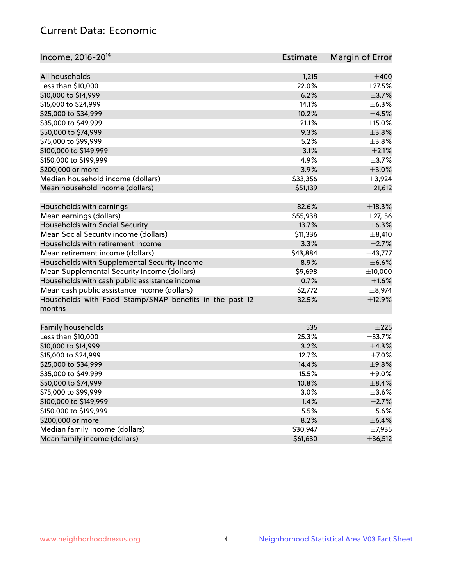# Current Data: Economic

| Income, 2016-20 <sup>14</sup>                           | Estimate | Margin of Error |
|---------------------------------------------------------|----------|-----------------|
|                                                         |          |                 |
| All households                                          | 1,215    | $\pm 400$       |
| Less than \$10,000                                      | 22.0%    | $\pm 27.5\%$    |
| \$10,000 to \$14,999                                    | 6.2%     | $\pm$ 3.7%      |
| \$15,000 to \$24,999                                    | 14.1%    | $\pm$ 6.3%      |
| \$25,000 to \$34,999                                    | 10.2%    | $\pm 4.5\%$     |
| \$35,000 to \$49,999                                    | 21.1%    | $\pm$ 15.0%     |
| \$50,000 to \$74,999                                    | 9.3%     | $\pm$ 3.8%      |
| \$75,000 to \$99,999                                    | 5.2%     | $\pm$ 3.8%      |
| \$100,000 to \$149,999                                  | 3.1%     | $\pm 2.1\%$     |
| \$150,000 to \$199,999                                  | 4.9%     | $\pm$ 3.7%      |
| \$200,000 or more                                       | 3.9%     | $\pm 3.0\%$     |
| Median household income (dollars)                       | \$33,356 | ±3,924          |
| Mean household income (dollars)                         | \$51,139 | ±21,612         |
| Households with earnings                                | 82.6%    | ±18.3%          |
| Mean earnings (dollars)                                 | \$55,938 | $±$ 27,156      |
| Households with Social Security                         | 13.7%    | $\pm$ 6.3%      |
| Mean Social Security income (dollars)                   | \$11,336 | $\pm$ 8,410     |
| Households with retirement income                       | 3.3%     | $\pm 2.7\%$     |
| Mean retirement income (dollars)                        | \$43,884 | ±43,777         |
| Households with Supplemental Security Income            | 8.9%     | $\pm$ 6.6%      |
| Mean Supplemental Security Income (dollars)             | \$9,698  | ±10,000         |
| Households with cash public assistance income           | 0.7%     | ±1.6%           |
| Mean cash public assistance income (dollars)            | \$2,772  | $\pm$ 8,974     |
| Households with Food Stamp/SNAP benefits in the past 12 | 32.5%    | ±12.9%          |
| months                                                  |          |                 |
|                                                         |          |                 |
| Family households                                       | 535      | ±225            |
| Less than \$10,000                                      | 25.3%    | ±33.7%          |
| \$10,000 to \$14,999                                    | 3.2%     | ±4.3%           |
| \$15,000 to \$24,999                                    | 12.7%    | $\pm$ 7.0%      |
| \$25,000 to \$34,999                                    | 14.4%    | ±9.8%           |
| \$35,000 to \$49,999                                    | 15.5%    | ±9.0%           |
| \$50,000 to \$74,999                                    | 10.8%    | $\pm$ 8.4%      |
| \$75,000 to \$99,999                                    | 3.0%     | $\pm$ 3.6%      |
| \$100,000 to \$149,999                                  | 1.4%     | $\pm 2.7\%$     |
| \$150,000 to \$199,999                                  | 5.5%     | $\pm$ 5.6%      |
| \$200,000 or more                                       | 8.2%     | $\pm$ 6.4%      |
| Median family income (dollars)                          | \$30,947 | $\pm$ 7,935     |
| Mean family income (dollars)                            | \$61,630 | ±36,512         |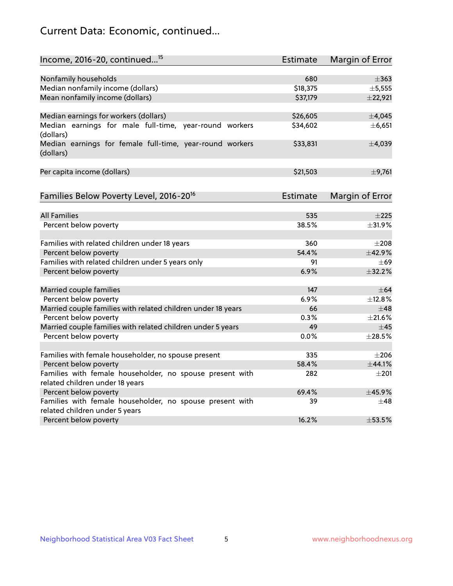# Current Data: Economic, continued...

| Income, 2016-20, continued <sup>15</sup>                                                   | <b>Estimate</b> | Margin of Error        |
|--------------------------------------------------------------------------------------------|-----------------|------------------------|
|                                                                                            |                 |                        |
| Nonfamily households                                                                       | 680             | $\pm$ 363              |
| Median nonfamily income (dollars)                                                          | \$18,375        | ±5,555                 |
| Mean nonfamily income (dollars)                                                            | \$37,179        | ±22,921                |
| Median earnings for workers (dollars)                                                      | \$26,605        | ±4,045                 |
| Median earnings for male full-time, year-round workers<br>(dollars)                        | \$34,602        | ±6,651                 |
| Median earnings for female full-time, year-round workers<br>(dollars)                      | \$33,831        | ±4,039                 |
| Per capita income (dollars)                                                                | \$21,503        | ±9,761                 |
| Families Below Poverty Level, 2016-20 <sup>16</sup>                                        | <b>Estimate</b> | <b>Margin of Error</b> |
|                                                                                            |                 |                        |
| <b>All Families</b>                                                                        | 535             | $\pm 225$              |
| Percent below poverty                                                                      | 38.5%           | ±31.9%                 |
| Families with related children under 18 years                                              | 360             | $\pm 208$              |
| Percent below poverty                                                                      | 54.4%           | ±42.9%                 |
| Families with related children under 5 years only                                          | 91              | $+69$                  |
| Percent below poverty                                                                      | 6.9%            | ±32.2%                 |
| Married couple families                                                                    | 147             | $\pm 64$               |
| Percent below poverty                                                                      | 6.9%            | $+12.8%$               |
| Married couple families with related children under 18 years                               | 66              | ±48                    |
| Percent below poverty                                                                      | 0.3%            | ±21.6%                 |
| Married couple families with related children under 5 years                                | 49              | ±45                    |
| Percent below poverty                                                                      | $0.0\%$         | ±28.5%                 |
|                                                                                            |                 |                        |
| Families with female householder, no spouse present                                        | 335             | $\pm 206$              |
| Percent below poverty                                                                      | 58.4%           | ±44.1%                 |
| Families with female householder, no spouse present with                                   | 282             | $\pm 201$              |
| related children under 18 years                                                            |                 |                        |
| Percent below poverty                                                                      | 69.4%           | ±45.9%                 |
| Families with female householder, no spouse present with<br>related children under 5 years | 39              | $\pm 48$               |
| Percent below poverty                                                                      | 16.2%           | ±53.5%                 |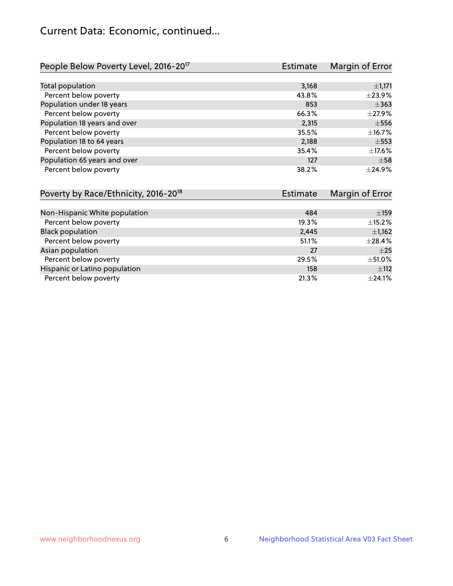# Current Data: Economic, continued...

| People Below Poverty Level, 2016-20 <sup>17</sup> | <b>Estimate</b> | Margin of Error |
|---------------------------------------------------|-----------------|-----------------|
|                                                   |                 |                 |
| Total population                                  | 3,168           | ±1,171          |
| Percent below poverty                             | 43.8%           | ±23.9%          |
| Population under 18 years                         | 853             | $\pm$ 363       |
| Percent below poverty                             | 66.3%           | $\pm$ 27.9%     |
| Population 18 years and over                      | 2,315           | $\pm$ 556       |
| Percent below poverty                             | 35.5%           | ±16.7%          |
| Population 18 to 64 years                         | 2,188           | $\pm$ 553       |
| Percent below poverty                             | 35.4%           | $\pm$ 17.6%     |
| Population 65 years and over                      | 127             | $\pm$ 58        |
| Percent below poverty                             | 38.2%           | ±24.9%          |

| Poverty by Race/Ethnicity, 2016-20 <sup>18</sup> | Estimate |             |
|--------------------------------------------------|----------|-------------|
|                                                  |          |             |
| Non-Hispanic White population                    | 484      | $\pm$ 159   |
| Percent below poverty                            | 19.3%    | $\pm$ 15.2% |
| <b>Black population</b>                          | 2,445    | $\pm$ 1,162 |
| Percent below poverty                            | 51.1%    | $\pm$ 28.4% |
| Asian population                                 | 27       | $\pm 25$    |
| Percent below poverty                            | 29.5%    | $\pm$ 51.0% |
| Hispanic or Latino population                    | 158      | ±112        |
| Percent below poverty                            | 21.3%    | $\pm$ 24.1% |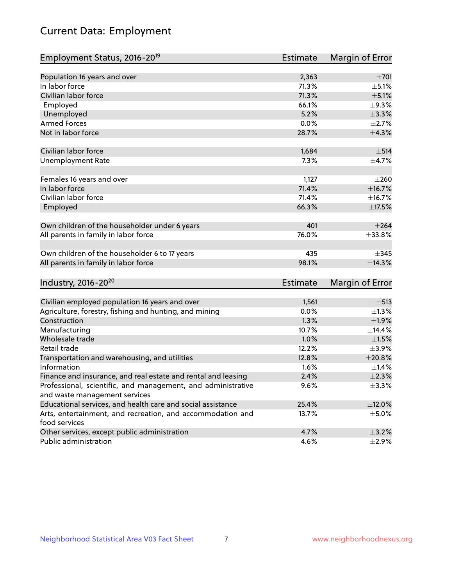# Current Data: Employment

| Employment Status, 2016-20 <sup>19</sup>                                    | <b>Estimate</b> | Margin of Error |
|-----------------------------------------------------------------------------|-----------------|-----------------|
|                                                                             |                 |                 |
| Population 16 years and over                                                | 2,363           | ±701            |
| In labor force                                                              | 71.3%           | $\pm$ 5.1%      |
| Civilian labor force                                                        | 71.3%           | $\pm$ 5.1%      |
| Employed                                                                    | 66.1%           | ±9.3%           |
| Unemployed                                                                  | 5.2%            | $\pm$ 3.3%      |
| <b>Armed Forces</b>                                                         | 0.0%            | $\pm 2.7\%$     |
| Not in labor force                                                          | 28.7%           | ±4.3%           |
| Civilian labor force                                                        | 1,684           | $\pm$ 514       |
| <b>Unemployment Rate</b>                                                    | 7.3%            | $\pm$ 4.7%      |
| Females 16 years and over                                                   | 1,127           | $\pm 260$       |
| In labor force                                                              | 71.4%           | ±16.7%          |
| Civilian labor force                                                        | 71.4%           | ±16.7%          |
| Employed                                                                    | 66.3%           | ±17.5%          |
|                                                                             |                 |                 |
| Own children of the householder under 6 years                               | 401             | $\pm 264$       |
| All parents in family in labor force                                        | 76.0%           | ±33.8%          |
| Own children of the householder 6 to 17 years                               | 435             | $\pm$ 345       |
|                                                                             | 98.1%           |                 |
| All parents in family in labor force                                        |                 | ±14.3%          |
| Industry, 2016-20 <sup>20</sup>                                             | <b>Estimate</b> | Margin of Error |
|                                                                             |                 |                 |
| Civilian employed population 16 years and over                              | 1,561           | $\pm$ 513       |
| Agriculture, forestry, fishing and hunting, and mining                      | 0.0%            | $\pm 1.3\%$     |
| Construction                                                                | 1.3%            | ±1.9%           |
| Manufacturing                                                               | 10.7%           | ±14.4%          |
| Wholesale trade                                                             | 1.0%            | $\pm 1.5\%$     |
| Retail trade                                                                | 12.2%           | $\pm$ 3.9%      |
| Transportation and warehousing, and utilities                               | 12.8%           | $\pm 20.8\%$    |
| Information                                                                 | 1.6%            | ±1.4%           |
| Finance and insurance, and real estate and rental and leasing               | 2.4%            | $\pm 2.3\%$     |
| Professional, scientific, and management, and administrative                | 9.6%            | ±3.3%           |
| and waste management services                                               |                 |                 |
| Educational services, and health care and social assistance                 | 25.4%           | $\pm$ 12.0%     |
| Arts, entertainment, and recreation, and accommodation and<br>food services | 13.7%           | $\pm$ 5.0%      |
|                                                                             | 4.7%            | $\pm$ 3.2%      |
| Other services, except public administration<br>Public administration       | 4.6%            | $\pm 2.9\%$     |
|                                                                             |                 |                 |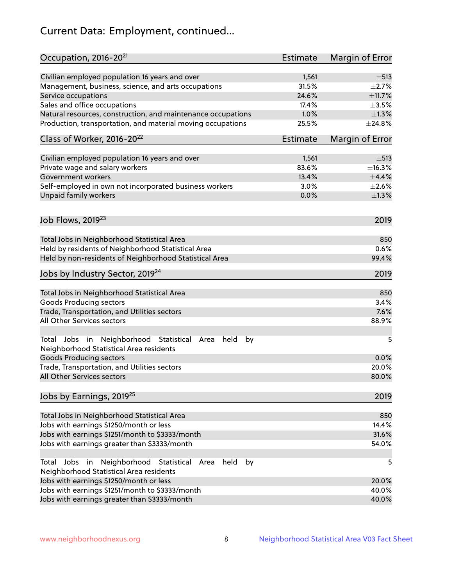# Current Data: Employment, continued...

| Occupation, 2016-20 <sup>21</sup>                                                                       | <b>Estimate</b> | Margin of Error |
|---------------------------------------------------------------------------------------------------------|-----------------|-----------------|
| Civilian employed population 16 years and over                                                          | 1,561           | $\pm$ 513       |
| Management, business, science, and arts occupations                                                     | 31.5%           | $\pm 2.7\%$     |
| Service occupations                                                                                     | 24.6%           | ±11.7%          |
| Sales and office occupations                                                                            | 17.4%           | $\pm 3.5\%$     |
| Natural resources, construction, and maintenance occupations                                            | 1.0%            | $\pm 1.3\%$     |
| Production, transportation, and material moving occupations                                             | 25.5%           | ±24.8%          |
| Class of Worker, 2016-20 <sup>22</sup>                                                                  | Estimate        | Margin of Error |
| Civilian employed population 16 years and over                                                          | 1,561           | $\pm$ 513       |
| Private wage and salary workers                                                                         | 83.6%           | ±16.3%          |
| Government workers                                                                                      | 13.4%           | $\pm$ 4.4%      |
| Self-employed in own not incorporated business workers                                                  | 3.0%            | $\pm 2.6\%$     |
| Unpaid family workers                                                                                   | 0.0%            | $\pm 1.3\%$     |
|                                                                                                         |                 |                 |
| Job Flows, 2019 <sup>23</sup>                                                                           |                 | 2019            |
| Total Jobs in Neighborhood Statistical Area                                                             |                 | 850             |
| Held by residents of Neighborhood Statistical Area                                                      |                 | 0.6%            |
| Held by non-residents of Neighborhood Statistical Area                                                  |                 | 99.4%           |
| Jobs by Industry Sector, 2019 <sup>24</sup>                                                             |                 | 2019            |
| Total Jobs in Neighborhood Statistical Area                                                             |                 | 850             |
| <b>Goods Producing sectors</b>                                                                          |                 | 3.4%            |
| Trade, Transportation, and Utilities sectors                                                            |                 | 7.6%            |
| All Other Services sectors                                                                              |                 | 88.9%           |
| Total Jobs in Neighborhood Statistical<br>held<br>by<br>Area<br>Neighborhood Statistical Area residents |                 | 5               |
| <b>Goods Producing sectors</b>                                                                          |                 | 0.0%            |
| Trade, Transportation, and Utilities sectors                                                            |                 | 20.0%           |
| All Other Services sectors                                                                              |                 | 80.0%           |
| Jobs by Earnings, 2019 <sup>25</sup>                                                                    |                 | 2019            |
| Total Jobs in Neighborhood Statistical Area                                                             |                 | 850             |
| Jobs with earnings \$1250/month or less                                                                 |                 | 14.4%           |
| Jobs with earnings \$1251/month to \$3333/month                                                         |                 | 31.6%           |
| Jobs with earnings greater than \$3333/month                                                            |                 | 54.0%           |
| Neighborhood Statistical<br>Jobs<br>in<br>held<br>by<br>Total<br>Area                                   |                 | 5               |
| Neighborhood Statistical Area residents                                                                 |                 |                 |
| Jobs with earnings \$1250/month or less                                                                 |                 | 20.0%           |
| Jobs with earnings \$1251/month to \$3333/month                                                         |                 | 40.0%           |
| Jobs with earnings greater than \$3333/month                                                            |                 | 40.0%           |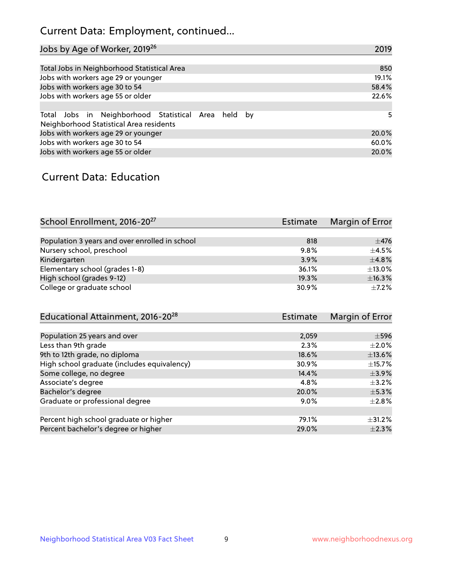# Current Data: Employment, continued...

| Jobs by Age of Worker, 2019 <sup>26</sup>                                                      | 2019  |
|------------------------------------------------------------------------------------------------|-------|
|                                                                                                |       |
| Total Jobs in Neighborhood Statistical Area                                                    | 850   |
| Jobs with workers age 29 or younger                                                            | 19.1% |
| Jobs with workers age 30 to 54                                                                 | 58.4% |
| Jobs with workers age 55 or older                                                              | 22.6% |
|                                                                                                |       |
| Total Jobs in Neighborhood Statistical Area held by<br>Neighborhood Statistical Area residents | 5     |
| Jobs with workers age 29 or younger                                                            | 20.0% |
| Jobs with workers age 30 to 54                                                                 | 60.0% |
| Jobs with workers age 55 or older                                                              | 20.0% |

### Current Data: Education

| School Enrollment, 2016-20 <sup>27</sup>       | <b>Estimate</b> | Margin of Error |
|------------------------------------------------|-----------------|-----------------|
|                                                |                 |                 |
| Population 3 years and over enrolled in school | 818             | $\pm$ 476       |
| Nursery school, preschool                      | 9.8%            | $+4.5%$         |
| Kindergarten                                   | 3.9%            | $\pm$ 4.8%      |
| Elementary school (grades 1-8)                 | 36.1%           | $\pm$ 13.0%     |
| High school (grades 9-12)                      | 19.3%           | ±16.3%          |
| College or graduate school                     | 30.9%           | $\pm$ 7.2%      |

| <b>Estimate</b> | Margin of Error |
|-----------------|-----------------|
|                 |                 |
| 2,059           | $\pm$ 596       |
| 2.3%            | $\pm 2.0\%$     |
| 18.6%           | $\pm$ 13.6%     |
| 30.9%           | $\pm$ 15.7%     |
| 14.4%           | $\pm$ 3.9%      |
| 4.8%            | $\pm$ 3.2%      |
| 20.0%           | $\pm$ 5.3%      |
| $9.0\%$         | $\pm 2.8\%$     |
|                 |                 |
| 79.1%           | $+31.2%$        |
| 29.0%           | $\pm 2.3\%$     |
|                 |                 |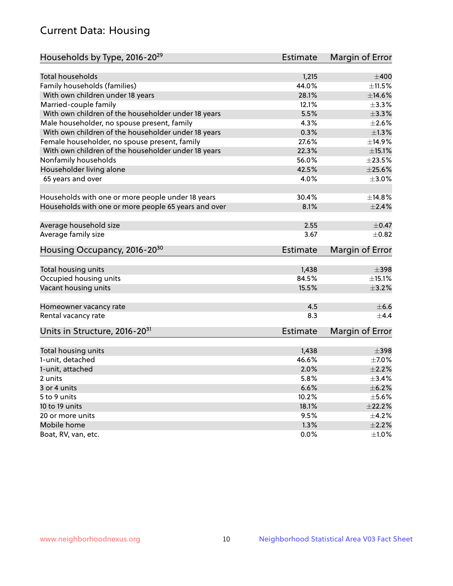# Current Data: Housing

| Households by Type, 2016-20 <sup>29</sup>            | <b>Estimate</b> | Margin of Error |
|------------------------------------------------------|-----------------|-----------------|
|                                                      |                 |                 |
| Total households                                     | 1,215           | $\pm 400$       |
| Family households (families)                         | 44.0%           | ±11.5%          |
| With own children under 18 years                     | 28.1%           | ±14.6%          |
| Married-couple family                                | 12.1%           | ±3.3%           |
| With own children of the householder under 18 years  | 5.5%            | $\pm$ 3.3%      |
| Male householder, no spouse present, family          | 4.3%            | $\pm 2.6\%$     |
| With own children of the householder under 18 years  | 0.3%            | $\pm 1.3\%$     |
| Female householder, no spouse present, family        | 27.6%           | $\pm$ 14.9%     |
| With own children of the householder under 18 years  | 22.3%           | $\pm$ 15.1%     |
| Nonfamily households                                 | 56.0%           | $\pm 23.5\%$    |
| Householder living alone                             | 42.5%           | $\pm 25.6\%$    |
| 65 years and over                                    | 4.0%            | $\pm$ 3.0%      |
|                                                      |                 |                 |
| Households with one or more people under 18 years    | 30.4%           | ±14.8%          |
| Households with one or more people 65 years and over | 8.1%            | $\pm 2.4\%$     |
| Average household size                               | 2.55            | $\pm$ 0.47      |
| Average family size                                  | 3.67            | $\pm$ 0.82      |
|                                                      |                 |                 |
| Housing Occupancy, 2016-20 <sup>30</sup>             | <b>Estimate</b> | Margin of Error |
| Total housing units                                  | 1,438           | $\pm$ 398       |
| Occupied housing units                               | 84.5%           | $\pm$ 15.1%     |
| Vacant housing units                                 | 15.5%           | $\pm$ 3.2%      |
|                                                      |                 |                 |
| Homeowner vacancy rate                               | 4.5             | $\pm$ 6.6       |
| Rental vacancy rate                                  | 8.3             | $+4.4$          |
| Units in Structure, 2016-20 <sup>31</sup>            | Estimate        | Margin of Error |
| Total housing units                                  | 1,438           | $\pm$ 398       |
| 1-unit, detached                                     | 46.6%           | $\pm$ 7.0%      |
|                                                      | 2.0%            | $\pm 2.2\%$     |
| 1-unit, attached                                     |                 |                 |
| 2 units                                              | 5.8%            | $\pm$ 3.4%      |
| 3 or 4 units                                         | 6.6%            | $\pm$ 6.2%      |
| 5 to 9 units                                         | 10.2%           | $\pm$ 5.6%      |
| 10 to 19 units                                       | 18.1%           | ±22.2%          |
| 20 or more units                                     | 9.5%            | $\pm$ 4.2%      |
| Mobile home                                          | 1.3%            | $\pm 2.2\%$     |
| Boat, RV, van, etc.                                  | $0.0\%$         | $\pm 1.0\%$     |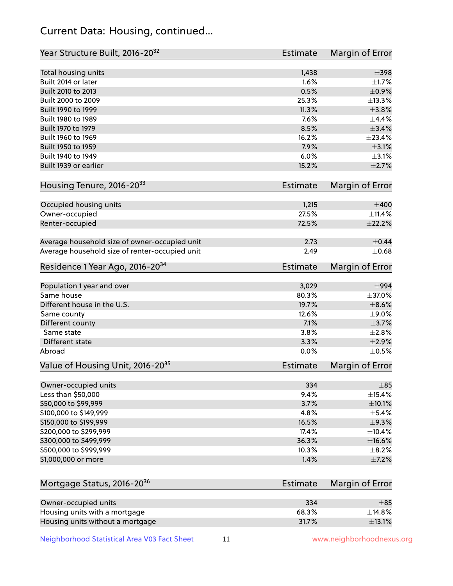# Current Data: Housing, continued...

| Year Structure Built, 2016-20 <sup>32</sup>    | <b>Estimate</b> | Margin of Error |
|------------------------------------------------|-----------------|-----------------|
| Total housing units                            | 1,438           | $\pm$ 398       |
| Built 2014 or later                            | 1.6%            | $\pm 1.7\%$     |
| Built 2010 to 2013                             | 0.5%            | $\pm$ 0.9%      |
| Built 2000 to 2009                             | 25.3%           | ±13.3%          |
| Built 1990 to 1999                             | 11.3%           | ±3.8%           |
| Built 1980 to 1989                             | 7.6%            | $\pm$ 4.4%      |
| Built 1970 to 1979                             | 8.5%            | $\pm$ 3.4%      |
| Built 1960 to 1969                             | 16.2%           | ±23.4%          |
| Built 1950 to 1959                             | 7.9%            | $\pm$ 3.1%      |
| Built 1940 to 1949                             | 6.0%            | $\pm$ 3.1%      |
| Built 1939 or earlier                          | 15.2%           | $\pm 2.7\%$     |
| Housing Tenure, 2016-2033                      | <b>Estimate</b> | Margin of Error |
| Occupied housing units                         | 1,215           | $\pm 400$       |
| Owner-occupied                                 | 27.5%           | ±11.4%          |
| Renter-occupied                                | 72.5%           | ±22.2%          |
|                                                |                 |                 |
| Average household size of owner-occupied unit  | 2.73            | $\pm$ 0.44      |
| Average household size of renter-occupied unit | 2.49            | $\pm$ 0.68      |
| Residence 1 Year Ago, 2016-20 <sup>34</sup>    | <b>Estimate</b> | Margin of Error |
| Population 1 year and over                     | 3,029           | $\pm$ 994       |
| Same house                                     | 80.3%           | $\pm$ 37.0%     |
| Different house in the U.S.                    | 19.7%           | $\pm$ 8.6%      |
| Same county                                    | 12.6%           | $\pm$ 9.0%      |
| Different county                               | 7.1%            | $\pm$ 3.7%      |
| Same state                                     | 3.8%            | $\pm 2.8\%$     |
| Different state                                | 3.3%            | $\pm 2.9\%$     |
| Abroad                                         | 0.0%            | $\pm$ 0.5%      |
| Value of Housing Unit, 2016-20 <sup>35</sup>   | <b>Estimate</b> | Margin of Error |
|                                                |                 |                 |
| Owner-occupied units                           | 334             | $\pm$ 85        |
| Less than \$50,000                             | 9.4%            | $\pm$ 15.4%     |
| \$50,000 to \$99,999                           | 3.7%            | $\pm 10.1\%$    |
| \$100,000 to \$149,999                         | 4.8%            | $\pm$ 5.4%      |
| \$150,000 to \$199,999                         | 16.5%           | $\pm$ 9.3%      |
| \$200,000 to \$299,999                         | 17.4%           | ±10.4%          |
| \$300,000 to \$499,999                         | 36.3%           | $\pm$ 16.6%     |
| \$500,000 to \$999,999                         | 10.3%           | $\pm$ 8.2%      |
| \$1,000,000 or more                            | 1.4%            | $\pm$ 7.2%      |
| Mortgage Status, 2016-20 <sup>36</sup>         | <b>Estimate</b> | Margin of Error |
|                                                |                 |                 |
| Owner-occupied units                           | 334             | $\pm$ 85        |
| Housing units with a mortgage                  | 68.3%           | ±14.8%          |
| Housing units without a mortgage               | 31.7%           | ±13.1%          |

Neighborhood Statistical Area V03 Fact Sheet 11 11 www.neighborhoodnexus.org

Housing units without a mortgage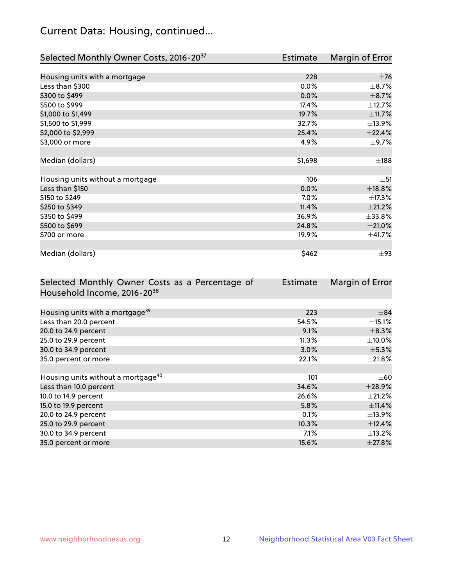# Current Data: Housing, continued...

| Selected Monthly Owner Costs, 2016-20 <sup>37</sup> | Estimate | Margin of Error |
|-----------------------------------------------------|----------|-----------------|
|                                                     |          |                 |
| Housing units with a mortgage                       | 228      | $\pm$ 76        |
| Less than \$300                                     | 0.0%     | $\pm$ 8.7%      |
| \$300 to \$499                                      | 0.0%     | $\pm$ 8.7%      |
| \$500 to \$999                                      | 17.4%    | $\pm$ 12.7%     |
| \$1,000 to \$1,499                                  | 19.7%    | ±11.7%          |
| \$1,500 to \$1,999                                  | 32.7%    | ±13.9%          |
| \$2,000 to \$2,999                                  | 25.4%    | ±22.4%          |
| \$3,000 or more                                     | 4.9%     | $\pm$ 9.7%      |
|                                                     |          |                 |
| Median (dollars)                                    | \$1,698  | $\pm$ 188       |
|                                                     |          |                 |
| Housing units without a mortgage                    | 106      | $\pm 51$        |
| Less than \$150                                     | 0.0%     | ±18.8%          |
| \$150 to \$249                                      | $7.0\%$  | $\pm$ 17.3%     |
| \$250 to \$349                                      | 11.4%    | ±21.2%          |
| \$350 to \$499                                      | 36.9%    | ±33.8%          |
| \$500 to \$699                                      | 24.8%    | $\pm 21.0\%$    |
| \$700 or more                                       | 19.9%    | ±41.7%          |
|                                                     |          |                 |
| Median (dollars)                                    | \$462    | $\pm$ 93        |

| Selected Monthly Owner Costs as a Percentage of | <b>Estimate</b> | Margin of Error |
|-------------------------------------------------|-----------------|-----------------|
| Household Income, 2016-20 <sup>38</sup>         |                 |                 |
|                                                 |                 |                 |
| Housing units with a mortgage <sup>39</sup>     | 223             | $\pm$ 84        |
| Less than 20.0 percent                          | 54.5%           | $\pm$ 15.1%     |
| 20.0 to 24.9 percent                            | 9.1%            | $\pm$ 8.3%      |
| 25.0 to 29.9 percent                            | 11.3%           | $\pm$ 10.0%     |
| 30.0 to 34.9 percent                            | 3.0%            | $\pm$ 5.3%      |
| 35.0 percent or more                            | 22.1%           | $\pm 21.8\%$    |
|                                                 |                 |                 |
| Housing units without a mortgage <sup>40</sup>  | 101             | $\pm 60$        |
| Less than 10.0 percent                          | 34.6%           | ±28.9%          |
| 10.0 to 14.9 percent                            | 26.6%           | $\pm 21.2\%$    |
| 15.0 to 19.9 percent                            | 5.8%            | ±11.4%          |
| 20.0 to 24.9 percent                            | 0.1%            | $\pm$ 13.9%     |
| 25.0 to 29.9 percent                            | 10.3%           | ±12.4%          |
| 30.0 to 34.9 percent                            | $7.1\%$         | $\pm$ 13.2%     |
| 35.0 percent or more                            | 15.6%           | $\pm$ 27.8%     |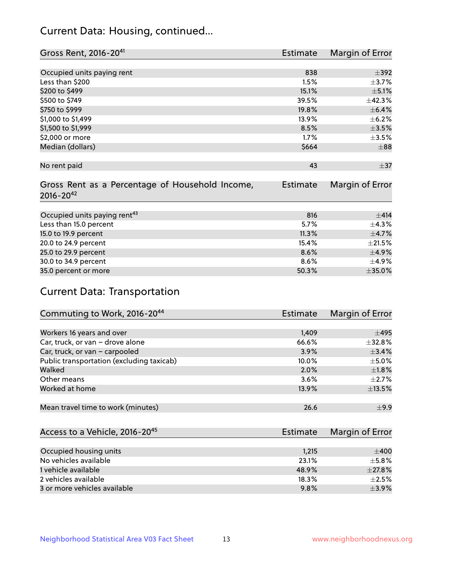# Current Data: Housing, continued...

| Gross Rent, 2016-20 <sup>41</sup>               | <b>Estimate</b> | Margin of Error |
|-------------------------------------------------|-----------------|-----------------|
|                                                 |                 |                 |
| Occupied units paying rent                      | 838             | $\pm$ 392       |
| Less than \$200                                 | 1.5%            | $\pm$ 3.7%      |
| \$200 to \$499                                  | 15.1%           | $\pm$ 5.1%      |
| \$500 to \$749                                  | 39.5%           | ±42.3%          |
| \$750 to \$999                                  | 19.8%           | $\pm$ 6.4%      |
| \$1,000 to \$1,499                              | 13.9%           | $\pm$ 6.2%      |
| \$1,500 to \$1,999                              | 8.5%            | $\pm 3.5\%$     |
| \$2,000 or more                                 | 1.7%            | $\pm 3.5\%$     |
| Median (dollars)                                | \$664           | $\pm$ 88        |
|                                                 |                 |                 |
| No rent paid                                    | 43              | $\pm$ 37        |
|                                                 |                 |                 |
| Gross Rent as a Percentage of Household Income, | <b>Estimate</b> | Margin of Error |
| $2016 - 20^{42}$                                |                 |                 |
|                                                 |                 |                 |
| Occupied units paying rent <sup>43</sup>        | 816             | ±414            |
| Less than 15.0 percent                          | 5.7%            | ±4.3%           |
| 15.0 to 19.9 percent                            | 11.3%           | $\pm$ 4.7%      |
| 20.0 to 24.9 percent                            | 15.4%           | $\pm 21.5\%$    |
| 25.0 to 29.9 percent                            | 8.6%            | $\pm$ 4.9%      |
| 30.0 to 34.9 percent                            | 8.6%            | $\pm$ 4.9%      |
| 35.0 percent or more                            | 50.3%           | $\pm$ 35.0%     |

# Current Data: Transportation

| Commuting to Work, 2016-20 <sup>44</sup>  | Estimate | Margin of Error |
|-------------------------------------------|----------|-----------------|
|                                           |          |                 |
| Workers 16 years and over                 | 1,409    | $\pm 495$       |
| Car, truck, or van - drove alone          | 66.6%    | ±32.8%          |
| Car, truck, or van - carpooled            | 3.9%     | ±3.4%           |
| Public transportation (excluding taxicab) | $10.0\%$ | $\pm$ 5.0%      |
| Walked                                    | 2.0%     | $\pm1.8\%$      |
| Other means                               | 3.6%     | $+2.7%$         |
| Worked at home                            | 13.9%    | $\pm$ 13.5%     |
|                                           |          |                 |
| Mean travel time to work (minutes)        | 26.6     | $\pm$ 9.9       |

| Access to a Vehicle, 2016-20 <sup>45</sup> | <b>Estimate</b> | Margin of Error |
|--------------------------------------------|-----------------|-----------------|
|                                            |                 |                 |
| Occupied housing units                     | 1,215           | $\pm 400$       |
| No vehicles available                      | 23.1%           | $+5.8%$         |
| 1 vehicle available                        | 48.9%           | ±27.8%          |
| 2 vehicles available                       | 18.3%           | $+2.5%$         |
| 3 or more vehicles available               | 9.8%            | $+3.9%$         |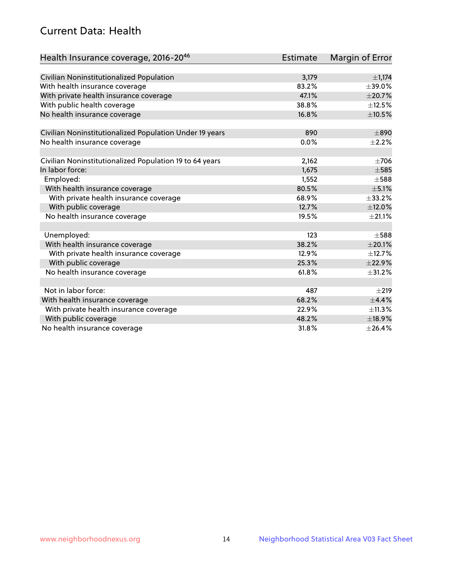# Current Data: Health

| Health Insurance coverage, 2016-2046                    | <b>Estimate</b> | Margin of Error |
|---------------------------------------------------------|-----------------|-----------------|
|                                                         |                 |                 |
| Civilian Noninstitutionalized Population                | 3,179           | $\pm$ 1,174     |
| With health insurance coverage                          | 83.2%           | $\pm$ 39.0%     |
| With private health insurance coverage                  | 47.1%           | ±20.7%          |
| With public health coverage                             | 38.8%           | $\pm$ 12.5%     |
| No health insurance coverage                            | 16.8%           | $\pm$ 10.5%     |
| Civilian Noninstitutionalized Population Under 19 years | 890             | $\pm 890$       |
| No health insurance coverage                            | 0.0%            | $\pm 2.2\%$     |
|                                                         |                 |                 |
| Civilian Noninstitutionalized Population 19 to 64 years | 2,162           | $\pm 706$       |
| In labor force:                                         | 1,675           | $\pm$ 585       |
| Employed:                                               | 1,552           | $\pm$ 588       |
| With health insurance coverage                          | 80.5%           | $\pm$ 5.1%      |
| With private health insurance coverage                  | 68.9%           | ±33.2%          |
| With public coverage                                    | 12.7%           | ±12.0%          |
| No health insurance coverage                            | 19.5%           | $\pm 21.1\%$    |
|                                                         |                 |                 |
| Unemployed:                                             | 123             | $\pm$ 588       |
| With health insurance coverage                          | 38.2%           | $\pm 20.1\%$    |
| With private health insurance coverage                  | 12.9%           | ±12.7%          |
| With public coverage                                    | 25.3%           | ±22.9%          |
| No health insurance coverage                            | 61.8%           | ±31.2%          |
|                                                         |                 |                 |
| Not in labor force:                                     | 487             | $\pm 219$       |
| With health insurance coverage                          | 68.2%           | $\pm$ 4.4%      |
| With private health insurance coverage                  | 22.9%           | ±11.3%          |
| With public coverage                                    | 48.2%           | ±18.9%          |
| No health insurance coverage                            | 31.8%           | ±26.4%          |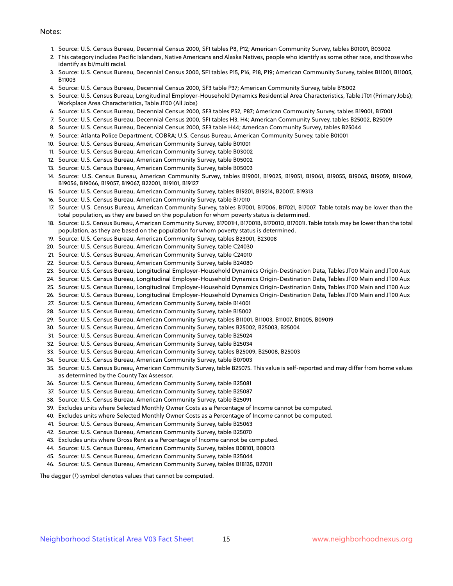#### Notes:

- 1. Source: U.S. Census Bureau, Decennial Census 2000, SF1 tables P8, P12; American Community Survey, tables B01001, B03002
- 2. This category includes Pacific Islanders, Native Americans and Alaska Natives, people who identify as some other race, and those who identify as bi/multi racial.
- 3. Source: U.S. Census Bureau, Decennial Census 2000, SF1 tables P15, P16, P18, P19; American Community Survey, tables B11001, B11005, B11003
- 4. Source: U.S. Census Bureau, Decennial Census 2000, SF3 table P37; American Community Survey, table B15002
- 5. Source: U.S. Census Bureau, Longitudinal Employer-Household Dynamics Residential Area Characteristics, Table JT01 (Primary Jobs); Workplace Area Characteristics, Table JT00 (All Jobs)
- 6. Source: U.S. Census Bureau, Decennial Census 2000, SF3 tables P52, P87; American Community Survey, tables B19001, B17001
- 7. Source: U.S. Census Bureau, Decennial Census 2000, SF1 tables H3, H4; American Community Survey, tables B25002, B25009
- 8. Source: U.S. Census Bureau, Decennial Census 2000, SF3 table H44; American Community Survey, tables B25044
- 9. Source: Atlanta Police Department, COBRA; U.S. Census Bureau, American Community Survey, table B01001
- 10. Source: U.S. Census Bureau, American Community Survey, table B01001
- 11. Source: U.S. Census Bureau, American Community Survey, table B03002
- 12. Source: U.S. Census Bureau, American Community Survey, table B05002
- 13. Source: U.S. Census Bureau, American Community Survey, table B05003
- 14. Source: U.S. Census Bureau, American Community Survey, tables B19001, B19025, B19051, B19061, B19055, B19065, B19059, B19069, B19056, B19066, B19057, B19067, B22001, B19101, B19127
- 15. Source: U.S. Census Bureau, American Community Survey, tables B19201, B19214, B20017, B19313
- 16. Source: U.S. Census Bureau, American Community Survey, table B17010
- 17. Source: U.S. Census Bureau, American Community Survey, tables B17001, B17006, B17021, B17007. Table totals may be lower than the total population, as they are based on the population for whom poverty status is determined.
- 18. Source: U.S. Census Bureau, American Community Survey, B17001H, B17001B, B17001D, B17001I. Table totals may be lower than the total population, as they are based on the population for whom poverty status is determined.
- 19. Source: U.S. Census Bureau, American Community Survey, tables B23001, B23008
- 20. Source: U.S. Census Bureau, American Community Survey, table C24030
- 21. Source: U.S. Census Bureau, American Community Survey, table C24010
- 22. Source: U.S. Census Bureau, American Community Survey, table B24080
- 23. Source: U.S. Census Bureau, Longitudinal Employer-Household Dynamics Origin-Destination Data, Tables JT00 Main and JT00 Aux
- 24. Source: U.S. Census Bureau, Longitudinal Employer-Household Dynamics Origin-Destination Data, Tables JT00 Main and JT00 Aux
- 25. Source: U.S. Census Bureau, Longitudinal Employer-Household Dynamics Origin-Destination Data, Tables JT00 Main and JT00 Aux
- 26. Source: U.S. Census Bureau, Longitudinal Employer-Household Dynamics Origin-Destination Data, Tables JT00 Main and JT00 Aux
- 27. Source: U.S. Census Bureau, American Community Survey, table B14001
- 28. Source: U.S. Census Bureau, American Community Survey, table B15002
- 29. Source: U.S. Census Bureau, American Community Survey, tables B11001, B11003, B11007, B11005, B09019
- 30. Source: U.S. Census Bureau, American Community Survey, tables B25002, B25003, B25004
- 31. Source: U.S. Census Bureau, American Community Survey, table B25024
- 32. Source: U.S. Census Bureau, American Community Survey, table B25034
- 33. Source: U.S. Census Bureau, American Community Survey, tables B25009, B25008, B25003
- 34. Source: U.S. Census Bureau, American Community Survey, table B07003
- 35. Source: U.S. Census Bureau, American Community Survey, table B25075. This value is self-reported and may differ from home values as determined by the County Tax Assessor.
- 36. Source: U.S. Census Bureau, American Community Survey, table B25081
- 37. Source: U.S. Census Bureau, American Community Survey, table B25087
- 38. Source: U.S. Census Bureau, American Community Survey, table B25091
- 39. Excludes units where Selected Monthly Owner Costs as a Percentage of Income cannot be computed.
- 40. Excludes units where Selected Monthly Owner Costs as a Percentage of Income cannot be computed.
- 41. Source: U.S. Census Bureau, American Community Survey, table B25063
- 42. Source: U.S. Census Bureau, American Community Survey, table B25070
- 43. Excludes units where Gross Rent as a Percentage of Income cannot be computed.
- 44. Source: U.S. Census Bureau, American Community Survey, tables B08101, B08013
- 45. Source: U.S. Census Bureau, American Community Survey, table B25044
- 46. Source: U.S. Census Bureau, American Community Survey, tables B18135, B27011

The dagger (†) symbol denotes values that cannot be computed.